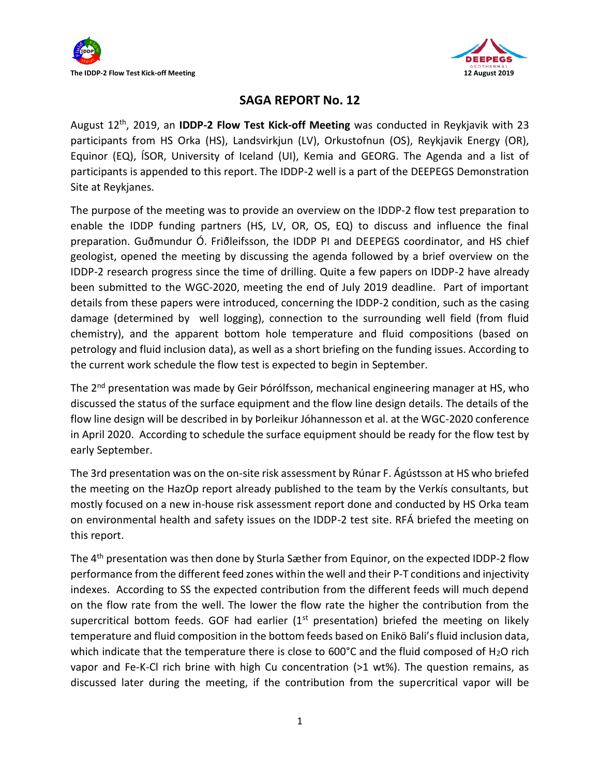



## **SAGA REPORT No. 12**

August 12th, 2019, an **IDDP-2 Flow Test Kick-off Meeting** was conducted in Reykjavik with 23 participants from HS Orka (HS), Landsvirkjun (LV), Orkustofnun (OS), Reykjavik Energy (OR), Equinor (EQ), ÍSOR, University of Iceland (UI), Kemia and GEORG. The Agenda and a list of participants is appended to this report. The IDDP-2 well is a part of the DEEPEGS Demonstration Site at Reykjanes.

The purpose of the meeting was to provide an overview on the IDDP-2 flow test preparation to enable the IDDP funding partners (HS, LV, OR, OS, EQ) to discuss and influence the final preparation. Guðmundur Ó. Friðleifsson, the IDDP PI and DEEPEGS coordinator, and HS chief geologist, opened the meeting by discussing the agenda followed by a brief overview on the IDDP-2 research progress since the time of drilling. Quite a few papers on IDDP-2 have already been submitted to the WGC-2020, meeting the end of July 2019 deadline. Part of important details from these papers were introduced, concerning the IDDP-2 condition, such as the casing damage (determined by well logging), connection to the surrounding well field (from fluid chemistry), and the apparent bottom hole temperature and fluid compositions (based on petrology and fluid inclusion data), as well as a short briefing on the funding issues. According to the current work schedule the flow test is expected to begin in September.

The 2<sup>nd</sup> presentation was made by Geir Þórólfsson, mechanical engineering manager at HS, who discussed the status of the surface equipment and the flow line design details. The details of the flow line design will be described in by Þorleikur Jóhannesson et al. at the WGC-2020 conference in April 2020. According to schedule the surface equipment should be ready for the flow test by early September.

The 3rd presentation was on the on-site risk assessment by Rúnar F. Ágústsson at HS who briefed the meeting on the HazOp report already published to the team by the Verkís consultants, but mostly focused on a new in-house risk assessment report done and conducted by HS Orka team on environmental health and safety issues on the IDDP-2 test site. RFÁ briefed the meeting on this report.

The 4<sup>th</sup> presentation was then done by Sturla Sæther from Equinor, on the expected IDDP-2 flow performance from the different feed zones within the well and their P-T conditions and injectivity indexes. According to SS the expected contribution from the different feeds will much depend on the flow rate from the well. The lower the flow rate the higher the contribution from the supercritical bottom feeds. GOF had earlier  $(1<sup>st</sup>$  presentation) briefed the meeting on likely temperature and fluid composition in the bottom feeds based on Enikö Bali's fluid inclusion data, which indicate that the temperature there is close to  $600^{\circ}$ C and the fluid composed of H<sub>2</sub>O rich vapor and Fe-K-Cl rich brine with high Cu concentration (>1 wt%). The question remains, as discussed later during the meeting, if the contribution from the supercritical vapor will be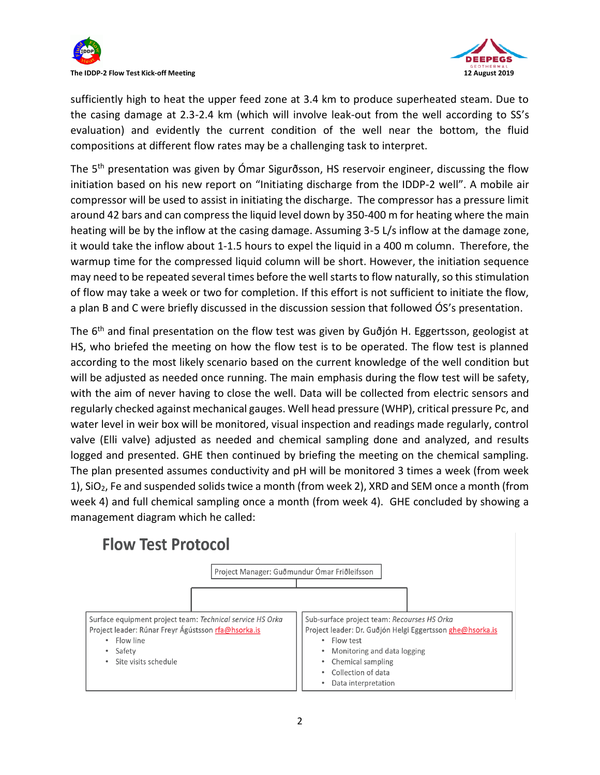



sufficiently high to heat the upper feed zone at 3.4 km to produce superheated steam. Due to the casing damage at 2.3-2.4 km (which will involve leak-out from the well according to SS's evaluation) and evidently the current condition of the well near the bottom, the fluid compositions at different flow rates may be a challenging task to interpret.

The 5th presentation was given by Ómar Sigurðsson, HS reservoir engineer, discussing the flow initiation based on his new report on "Initiating discharge from the IDDP-2 well". A mobile air compressor will be used to assist in initiating the discharge. The compressor has a pressure limit around 42 bars and can compress the liquid level down by 350-400 m for heating where the main heating will be by the inflow at the casing damage. Assuming 3-5 L/s inflow at the damage zone, it would take the inflow about 1-1.5 hours to expel the liquid in a 400 m column. Therefore, the warmup time for the compressed liquid column will be short. However, the initiation sequence may need to be repeated several times before the well starts to flow naturally, so this stimulation of flow may take a week or two for completion. If this effort is not sufficient to initiate the flow, a plan B and C were briefly discussed in the discussion session that followed ÓS's presentation.

The  $6<sup>th</sup>$  and final presentation on the flow test was given by Guðjón H. Eggertsson, geologist at HS, who briefed the meeting on how the flow test is to be operated. The flow test is planned according to the most likely scenario based on the current knowledge of the well condition but will be adjusted as needed once running. The main emphasis during the flow test will be safety, with the aim of never having to close the well. Data will be collected from electric sensors and regularly checked against mechanical gauges. Well head pressure (WHP), critical pressure Pc, and water level in weir box will be monitored, visual inspection and readings made regularly, control valve (Elli valve) adjusted as needed and chemical sampling done and analyzed, and results logged and presented. GHE then continued by briefing the meeting on the chemical sampling. The plan presented assumes conductivity and pH will be monitored 3 times a week (from week 1), SiO2, Fe and suspended solids twice a month (from week 2), XRD and SEM once a month (from week 4) and full chemical sampling once a month (from week 4). GHE concluded by showing a management diagram which he called:

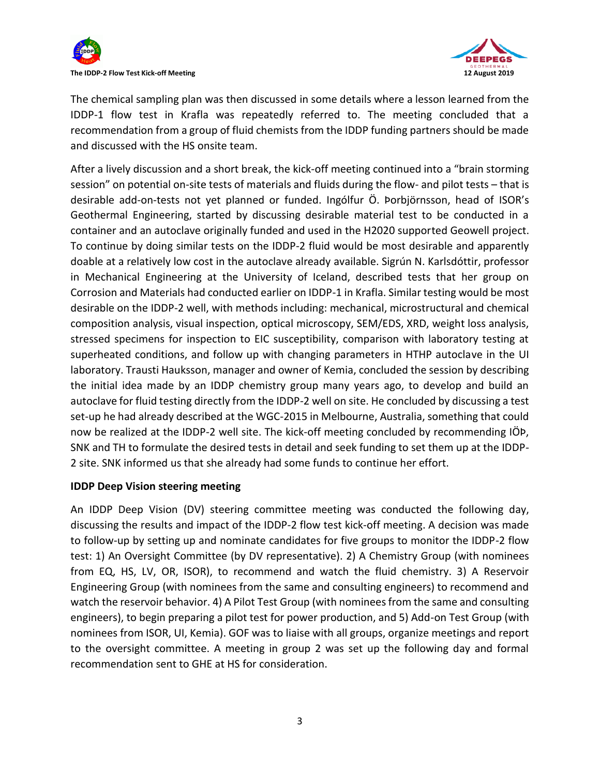



The chemical sampling plan was then discussed in some details where a lesson learned from the IDDP-1 flow test in Krafla was repeatedly referred to. The meeting concluded that a recommendation from a group of fluid chemists from the IDDP funding partners should be made and discussed with the HS onsite team.

After a lively discussion and a short break, the kick-off meeting continued into a "brain storming session" on potential on-site tests of materials and fluids during the flow- and pilot tests – that is desirable add-on-tests not yet planned or funded. Ingólfur Ö. Þorbjörnsson, head of ISOR's Geothermal Engineering, started by discussing desirable material test to be conducted in a container and an autoclave originally funded and used in the H2020 supported Geowell project. To continue by doing similar tests on the IDDP-2 fluid would be most desirable and apparently doable at a relatively low cost in the autoclave already available. Sigrún N. Karlsdóttir, professor in Mechanical Engineering at the University of Iceland, described tests that her group on Corrosion and Materials had conducted earlier on IDDP-1 in Krafla. Similar testing would be most desirable on the IDDP-2 well, with methods including: mechanical, microstructural and chemical composition analysis, visual inspection, optical microscopy, SEM/EDS, XRD, weight loss analysis, stressed specimens for inspection to EIC susceptibility, comparison with laboratory testing at superheated conditions, and follow up with changing parameters in HTHP autoclave in the UI laboratory. Trausti Hauksson, manager and owner of Kemia, concluded the session by describing the initial idea made by an IDDP chemistry group many years ago, to develop and build an autoclave for fluid testing directly from the IDDP-2 well on site. He concluded by discussing a test set-up he had already described at the WGC-2015 in Melbourne, Australia, something that could now be realized at the IDDP-2 well site. The kick-off meeting concluded by recommending IÖÞ, SNK and TH to formulate the desired tests in detail and seek funding to set them up at the IDDP-2 site. SNK informed us that she already had some funds to continue her effort.

## **IDDP Deep Vision steering meeting**

An IDDP Deep Vision (DV) steering committee meeting was conducted the following day, discussing the results and impact of the IDDP-2 flow test kick-off meeting. A decision was made to follow-up by setting up and nominate candidates for five groups to monitor the IDDP-2 flow test: 1) An Oversight Committee (by DV representative). 2) A Chemistry Group (with nominees from EQ, HS, LV, OR, ISOR), to recommend and watch the fluid chemistry. 3) A Reservoir Engineering Group (with nominees from the same and consulting engineers) to recommend and watch the reservoir behavior. 4) A Pilot Test Group (with nominees from the same and consulting engineers), to begin preparing a pilot test for power production, and 5) Add-on Test Group (with nominees from ISOR, UI, Kemia). GOF was to liaise with all groups, organize meetings and report to the oversight committee. A meeting in group 2 was set up the following day and formal recommendation sent to GHE at HS for consideration.